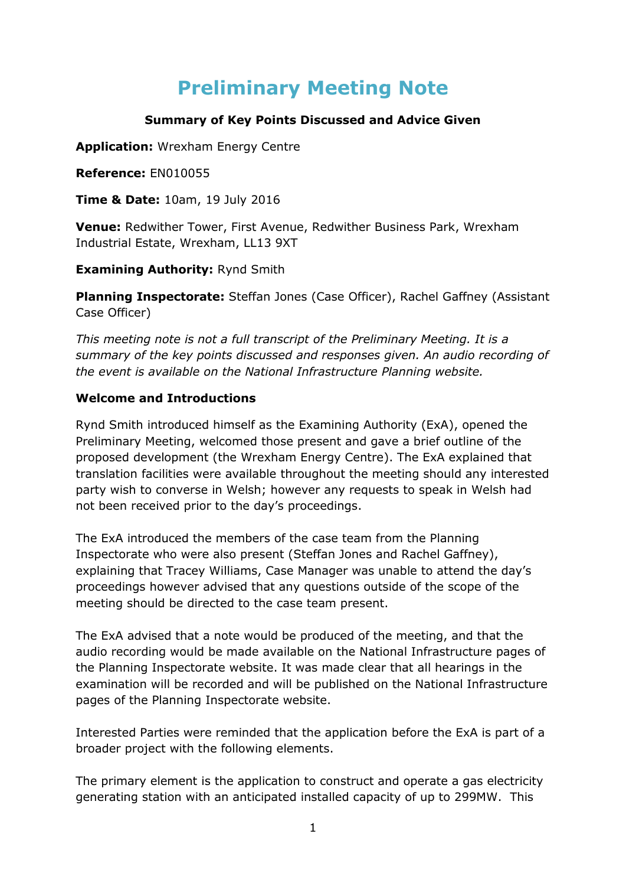# **Preliminary Meeting Note**

# **Summary of Key Points Discussed and Advice Given**

**Application:** Wrexham Energy Centre

**Reference:** EN010055

**Time & Date:** 10am, 19 July 2016

**Venue:** Redwither Tower, First Avenue, Redwither Business Park, Wrexham Industrial Estate, Wrexham, LL13 9XT

**Examining Authority:** Rynd Smith

**Planning Inspectorate:** Steffan Jones (Case Officer), Rachel Gaffney (Assistant Case Officer)

*This meeting note is not a full transcript of the Preliminary Meeting. It is a summary of the key points discussed and responses given. An audio recording of the event is available on the National Infrastructure Planning website.*

#### **Welcome and Introductions**

Rynd Smith introduced himself as the Examining Authority (ExA), opened the Preliminary Meeting, welcomed those present and gave a brief outline of the proposed development (the Wrexham Energy Centre). The ExA explained that translation facilities were available throughout the meeting should any interested party wish to converse in Welsh; however any requests to speak in Welsh had not been received prior to the day's proceedings.

The ExA introduced the members of the case team from the Planning Inspectorate who were also present (Steffan Jones and Rachel Gaffney), explaining that Tracey Williams, Case Manager was unable to attend the day's proceedings however advised that any questions outside of the scope of the meeting should be directed to the case team present.

The ExA advised that a note would be produced of the meeting, and that the audio recording would be made available on the National Infrastructure pages of the Planning Inspectorate website. It was made clear that all hearings in the examination will be recorded and will be published on the National Infrastructure pages of the Planning Inspectorate website.

Interested Parties were reminded that the application before the ExA is part of a broader project with the following elements.

The primary element is the application to construct and operate a gas electricity generating station with an anticipated installed capacity of up to 299MW. This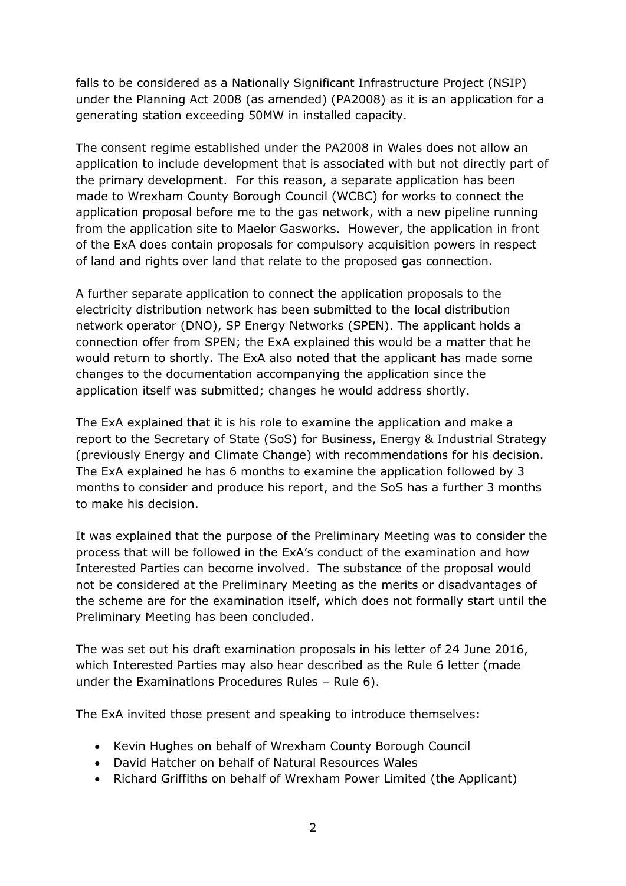falls to be considered as a Nationally Significant Infrastructure Project (NSIP) under the Planning Act 2008 (as amended) (PA2008) as it is an application for a generating station exceeding 50MW in installed capacity.

The consent regime established under the PA2008 in Wales does not allow an application to include development that is associated with but not directly part of the primary development. For this reason, a separate application has been made to Wrexham County Borough Council (WCBC) for works to connect the application proposal before me to the gas network, with a new pipeline running from the application site to Maelor Gasworks. However, the application in front of the ExA does contain proposals for compulsory acquisition powers in respect of land and rights over land that relate to the proposed gas connection.

A further separate application to connect the application proposals to the electricity distribution network has been submitted to the local distribution network operator (DNO), SP Energy Networks (SPEN). The applicant holds a connection offer from SPEN; the ExA explained this would be a matter that he would return to shortly. The ExA also noted that the applicant has made some changes to the documentation accompanying the application since the application itself was submitted; changes he would address shortly.

The ExA explained that it is his role to examine the application and make a report to the Secretary of State (SoS) for Business, Energy & Industrial Strategy (previously Energy and Climate Change) with recommendations for his decision. The ExA explained he has 6 months to examine the application followed by 3 months to consider and produce his report, and the SoS has a further 3 months to make his decision.

It was explained that the purpose of the Preliminary Meeting was to consider the process that will be followed in the ExA's conduct of the examination and how Interested Parties can become involved. The substance of the proposal would not be considered at the Preliminary Meeting as the merits or disadvantages of the scheme are for the examination itself, which does not formally start until the Preliminary Meeting has been concluded.

The was set out his draft examination proposals in his letter of 24 June 2016, which Interested Parties may also hear described as the Rule 6 letter (made under the Examinations Procedures Rules – Rule 6).

The ExA invited those present and speaking to introduce themselves:

- Kevin Hughes on behalf of Wrexham County Borough Council
- David Hatcher on behalf of Natural Resources Wales
- Richard Griffiths on behalf of Wrexham Power Limited (the Applicant)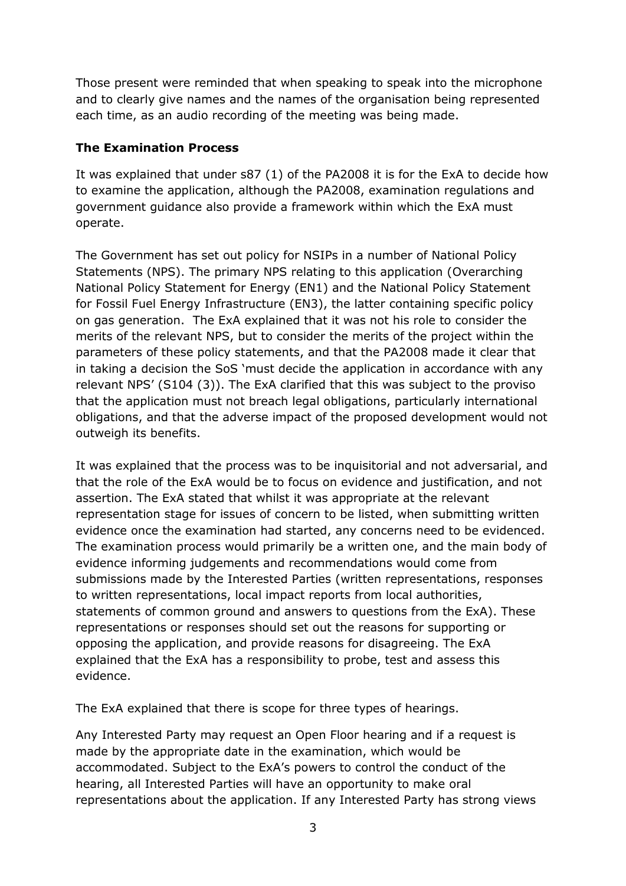Those present were reminded that when speaking to speak into the microphone and to clearly give names and the names of the organisation being represented each time, as an audio recording of the meeting was being made.

### **The Examination Process**

It was explained that under s87 (1) of the PA2008 it is for the ExA to decide how to examine the application, although the PA2008, examination regulations and government guidance also provide a framework within which the ExA must operate.

The Government has set out policy for NSIPs in a number of National Policy Statements (NPS). The primary NPS relating to this application (Overarching National Policy Statement for Energy (EN1) and the National Policy Statement for Fossil Fuel Energy Infrastructure (EN3), the latter containing specific policy on gas generation. The ExA explained that it was not his role to consider the merits of the relevant NPS, but to consider the merits of the project within the parameters of these policy statements, and that the PA2008 made it clear that in taking a decision the SoS 'must decide the application in accordance with any relevant NPS' (S104 (3)). The ExA clarified that this was subject to the proviso that the application must not breach legal obligations, particularly international obligations, and that the adverse impact of the proposed development would not outweigh its benefits.

It was explained that the process was to be inquisitorial and not adversarial, and that the role of the ExA would be to focus on evidence and justification, and not assertion. The ExA stated that whilst it was appropriate at the relevant representation stage for issues of concern to be listed, when submitting written evidence once the examination had started, any concerns need to be evidenced. The examination process would primarily be a written one, and the main body of evidence informing judgements and recommendations would come from submissions made by the Interested Parties (written representations, responses to written representations, local impact reports from local authorities, statements of common ground and answers to questions from the ExA). These representations or responses should set out the reasons for supporting or opposing the application, and provide reasons for disagreeing. The ExA explained that the ExA has a responsibility to probe, test and assess this evidence.

The ExA explained that there is scope for three types of hearings.

Any Interested Party may request an Open Floor hearing and if a request is made by the appropriate date in the examination, which would be accommodated. Subject to the ExA's powers to control the conduct of the hearing, all Interested Parties will have an opportunity to make oral representations about the application. If any Interested Party has strong views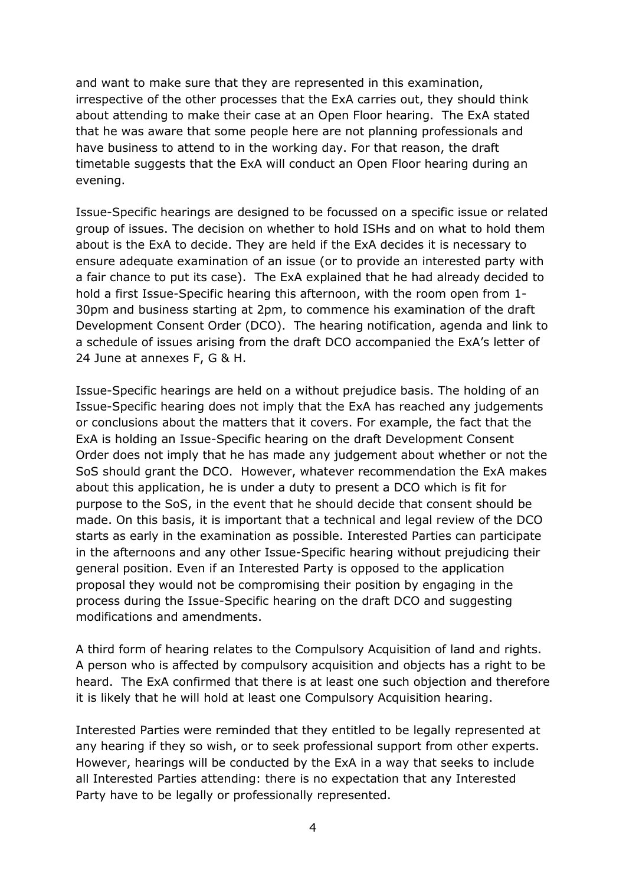and want to make sure that they are represented in this examination, irrespective of the other processes that the ExA carries out, they should think about attending to make their case at an Open Floor hearing. The ExA stated that he was aware that some people here are not planning professionals and have business to attend to in the working day. For that reason, the draft timetable suggests that the ExA will conduct an Open Floor hearing during an evening.

Issue-Specific hearings are designed to be focussed on a specific issue or related group of issues. The decision on whether to hold ISHs and on what to hold them about is the ExA to decide. They are held if the ExA decides it is necessary to ensure adequate examination of an issue (or to provide an interested party with a fair chance to put its case). The ExA explained that he had already decided to hold a first Issue-Specific hearing this afternoon, with the room open from 1- 30pm and business starting at 2pm, to commence his examination of the draft Development Consent Order (DCO). The hearing notification, agenda and link to a schedule of issues arising from the draft DCO accompanied the ExA's letter of 24 June at annexes F, G & H.

Issue-Specific hearings are held on a without prejudice basis. The holding of an Issue-Specific hearing does not imply that the ExA has reached any judgements or conclusions about the matters that it covers. For example, the fact that the ExA is holding an Issue-Specific hearing on the draft Development Consent Order does not imply that he has made any judgement about whether or not the SoS should grant the DCO. However, whatever recommendation the ExA makes about this application, he is under a duty to present a DCO which is fit for purpose to the SoS, in the event that he should decide that consent should be made. On this basis, it is important that a technical and legal review of the DCO starts as early in the examination as possible. Interested Parties can participate in the afternoons and any other Issue-Specific hearing without prejudicing their general position. Even if an Interested Party is opposed to the application proposal they would not be compromising their position by engaging in the process during the Issue-Specific hearing on the draft DCO and suggesting modifications and amendments.

A third form of hearing relates to the Compulsory Acquisition of land and rights. A person who is affected by compulsory acquisition and objects has a right to be heard. The ExA confirmed that there is at least one such objection and therefore it is likely that he will hold at least one Compulsory Acquisition hearing.

Interested Parties were reminded that they entitled to be legally represented at any hearing if they so wish, or to seek professional support from other experts. However, hearings will be conducted by the ExA in a way that seeks to include all Interested Parties attending: there is no expectation that any Interested Party have to be legally or professionally represented.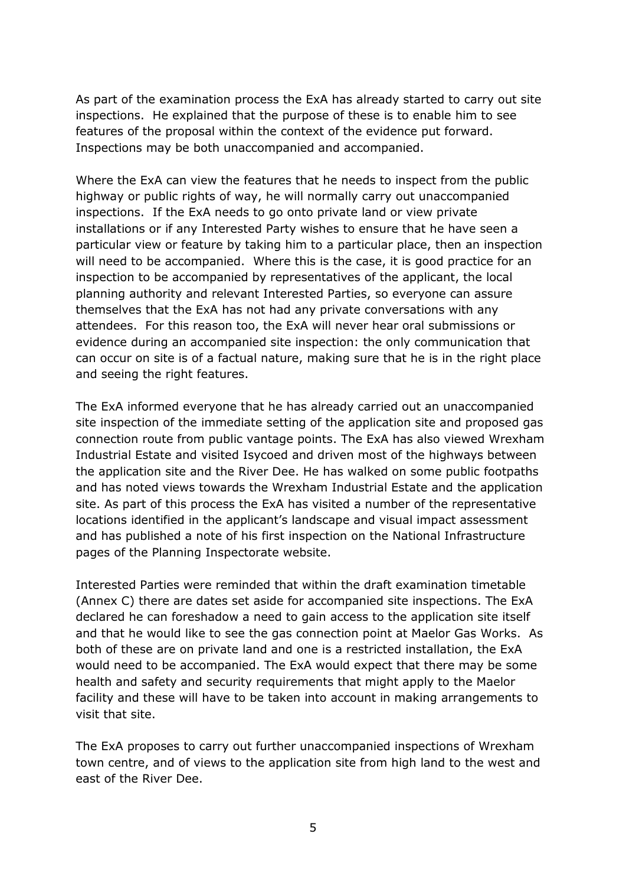As part of the examination process the ExA has already started to carry out site inspections. He explained that the purpose of these is to enable him to see features of the proposal within the context of the evidence put forward. Inspections may be both unaccompanied and accompanied.

Where the ExA can view the features that he needs to inspect from the public highway or public rights of way, he will normally carry out unaccompanied inspections. If the ExA needs to go onto private land or view private installations or if any Interested Party wishes to ensure that he have seen a particular view or feature by taking him to a particular place, then an inspection will need to be accompanied. Where this is the case, it is good practice for an inspection to be accompanied by representatives of the applicant, the local planning authority and relevant Interested Parties, so everyone can assure themselves that the ExA has not had any private conversations with any attendees. For this reason too, the ExA will never hear oral submissions or evidence during an accompanied site inspection: the only communication that can occur on site is of a factual nature, making sure that he is in the right place and seeing the right features.

The ExA informed everyone that he has already carried out an unaccompanied site inspection of the immediate setting of the application site and proposed gas connection route from public vantage points. The ExA has also viewed Wrexham Industrial Estate and visited Isycoed and driven most of the highways between the application site and the River Dee. He has walked on some public footpaths and has noted views towards the Wrexham Industrial Estate and the application site. As part of this process the ExA has visited a number of the representative locations identified in the applicant's landscape and visual impact assessment and has published a note of his first inspection on the National Infrastructure pages of the Planning Inspectorate website.

Interested Parties were reminded that within the draft examination timetable (Annex C) there are dates set aside for accompanied site inspections. The ExA declared he can foreshadow a need to gain access to the application site itself and that he would like to see the gas connection point at Maelor Gas Works. As both of these are on private land and one is a restricted installation, the ExA would need to be accompanied. The ExA would expect that there may be some health and safety and security requirements that might apply to the Maelor facility and these will have to be taken into account in making arrangements to visit that site.

The ExA proposes to carry out further unaccompanied inspections of Wrexham town centre, and of views to the application site from high land to the west and east of the River Dee.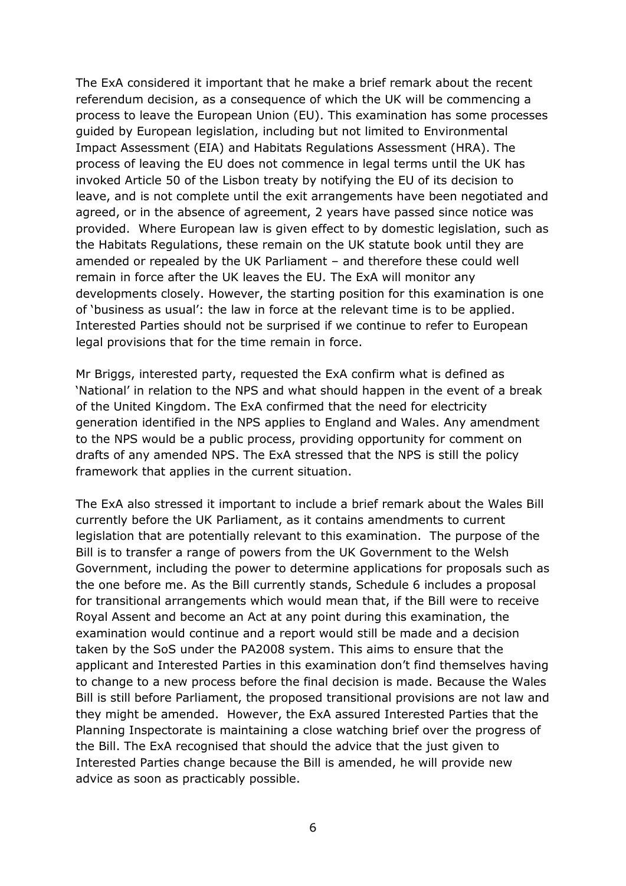The ExA considered it important that he make a brief remark about the recent referendum decision, as a consequence of which the UK will be commencing a process to leave the European Union (EU). This examination has some processes guided by European legislation, including but not limited to Environmental Impact Assessment (EIA) and Habitats Regulations Assessment (HRA). The process of leaving the EU does not commence in legal terms until the UK has invoked Article 50 of the Lisbon treaty by notifying the EU of its decision to leave, and is not complete until the exit arrangements have been negotiated and agreed, or in the absence of agreement, 2 years have passed since notice was provided. Where European law is given effect to by domestic legislation, such as the Habitats Regulations, these remain on the UK statute book until they are amended or repealed by the UK Parliament – and therefore these could well remain in force after the UK leaves the EU. The ExA will monitor any developments closely. However, the starting position for this examination is one of 'business as usual': the law in force at the relevant time is to be applied. Interested Parties should not be surprised if we continue to refer to European legal provisions that for the time remain in force.

Mr Briggs, interested party, requested the ExA confirm what is defined as 'National' in relation to the NPS and what should happen in the event of a break of the United Kingdom. The ExA confirmed that the need for electricity generation identified in the NPS applies to England and Wales. Any amendment to the NPS would be a public process, providing opportunity for comment on drafts of any amended NPS. The ExA stressed that the NPS is still the policy framework that applies in the current situation.

The ExA also stressed it important to include a brief remark about the Wales Bill currently before the UK Parliament, as it contains amendments to current legislation that are potentially relevant to this examination. The purpose of the Bill is to transfer a range of powers from the UK Government to the Welsh Government, including the power to determine applications for proposals such as the one before me. As the Bill currently stands, Schedule 6 includes a proposal for transitional arrangements which would mean that, if the Bill were to receive Royal Assent and become an Act at any point during this examination, the examination would continue and a report would still be made and a decision taken by the SoS under the PA2008 system. This aims to ensure that the applicant and Interested Parties in this examination don't find themselves having to change to a new process before the final decision is made. Because the Wales Bill is still before Parliament, the proposed transitional provisions are not law and they might be amended. However, the ExA assured Interested Parties that the Planning Inspectorate is maintaining a close watching brief over the progress of the Bill. The ExA recognised that should the advice that the just given to Interested Parties change because the Bill is amended, he will provide new advice as soon as practicably possible.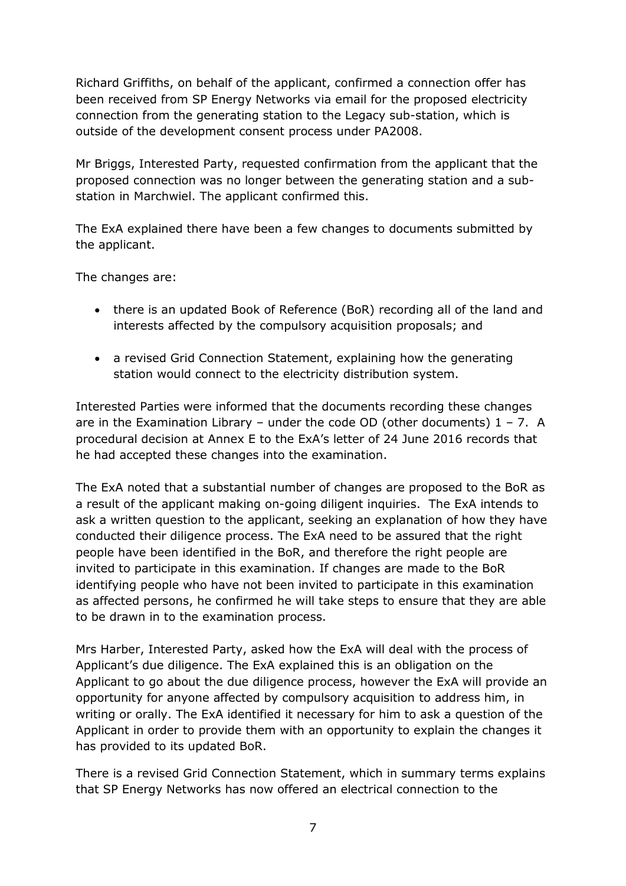Richard Griffiths, on behalf of the applicant, confirmed a connection offer has been received from SP Energy Networks via email for the proposed electricity connection from the generating station to the Legacy sub-station, which is outside of the development consent process under PA2008.

Mr Briggs, Interested Party, requested confirmation from the applicant that the proposed connection was no longer between the generating station and a substation in Marchwiel. The applicant confirmed this.

The ExA explained there have been a few changes to documents submitted by the applicant.

The changes are:

- there is an updated Book of Reference (BoR) recording all of the land and interests affected by the compulsory acquisition proposals; and
- a revised Grid Connection Statement, explaining how the generating station would connect to the electricity distribution system.

Interested Parties were informed that the documents recording these changes are in the Examination Library – under the code OD (other documents)  $1 - 7$ . A procedural decision at Annex E to the ExA's letter of 24 June 2016 records that he had accepted these changes into the examination.

The ExA noted that a substantial number of changes are proposed to the BoR as a result of the applicant making on-going diligent inquiries. The ExA intends to ask a written question to the applicant, seeking an explanation of how they have conducted their diligence process. The ExA need to be assured that the right people have been identified in the BoR, and therefore the right people are invited to participate in this examination. If changes are made to the BoR identifying people who have not been invited to participate in this examination as affected persons, he confirmed he will take steps to ensure that they are able to be drawn in to the examination process.

Mrs Harber, Interested Party, asked how the ExA will deal with the process of Applicant's due diligence. The ExA explained this is an obligation on the Applicant to go about the due diligence process, however the ExA will provide an opportunity for anyone affected by compulsory acquisition to address him, in writing or orally. The ExA identified it necessary for him to ask a question of the Applicant in order to provide them with an opportunity to explain the changes it has provided to its updated BoR.

There is a revised Grid Connection Statement, which in summary terms explains that SP Energy Networks has now offered an electrical connection to the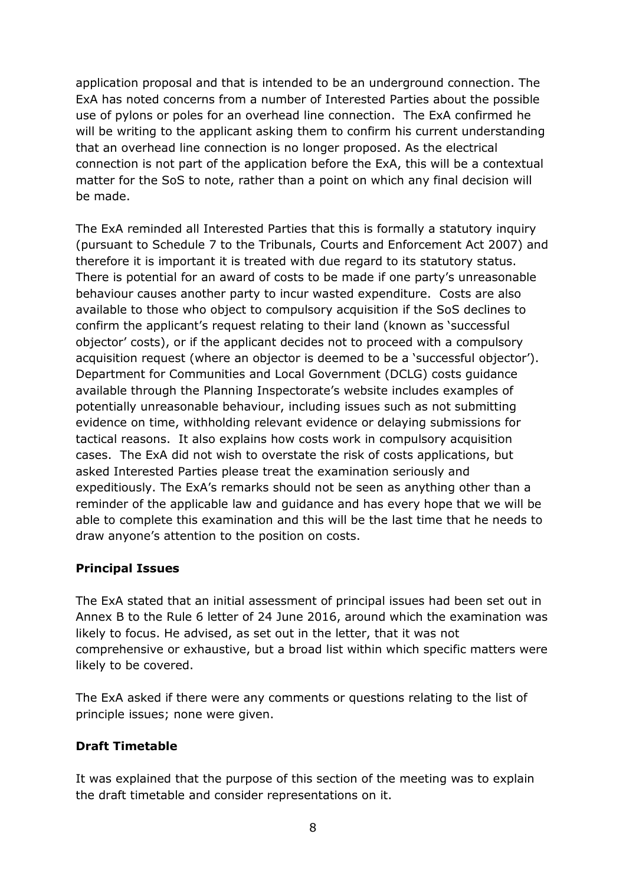application proposal and that is intended to be an underground connection. The ExA has noted concerns from a number of Interested Parties about the possible use of pylons or poles for an overhead line connection. The ExA confirmed he will be writing to the applicant asking them to confirm his current understanding that an overhead line connection is no longer proposed. As the electrical connection is not part of the application before the ExA, this will be a contextual matter for the SoS to note, rather than a point on which any final decision will be made.

The ExA reminded all Interested Parties that this is formally a statutory inquiry (pursuant to Schedule 7 to the Tribunals, Courts and Enforcement Act 2007) and therefore it is important it is treated with due regard to its statutory status. There is potential for an award of costs to be made if one party's unreasonable behaviour causes another party to incur wasted expenditure. Costs are also available to those who object to compulsory acquisition if the SoS declines to confirm the applicant's request relating to their land (known as 'successful objector' costs), or if the applicant decides not to proceed with a compulsory acquisition request (where an objector is deemed to be a 'successful objector'). Department for Communities and Local Government (DCLG) costs guidance available through the Planning Inspectorate's website includes examples of potentially unreasonable behaviour, including issues such as not submitting evidence on time, withholding relevant evidence or delaying submissions for tactical reasons. It also explains how costs work in compulsory acquisition cases. The ExA did not wish to overstate the risk of costs applications, but asked Interested Parties please treat the examination seriously and expeditiously. The ExA's remarks should not be seen as anything other than a reminder of the applicable law and guidance and has every hope that we will be able to complete this examination and this will be the last time that he needs to draw anyone's attention to the position on costs.

#### **Principal Issues**

The ExA stated that an initial assessment of principal issues had been set out in Annex B to the Rule 6 letter of 24 June 2016, around which the examination was likely to focus. He advised, as set out in the letter, that it was not comprehensive or exhaustive, but a broad list within which specific matters were likely to be covered.

The ExA asked if there were any comments or questions relating to the list of principle issues; none were given.

# **Draft Timetable**

It was explained that the purpose of this section of the meeting was to explain the draft timetable and consider representations on it.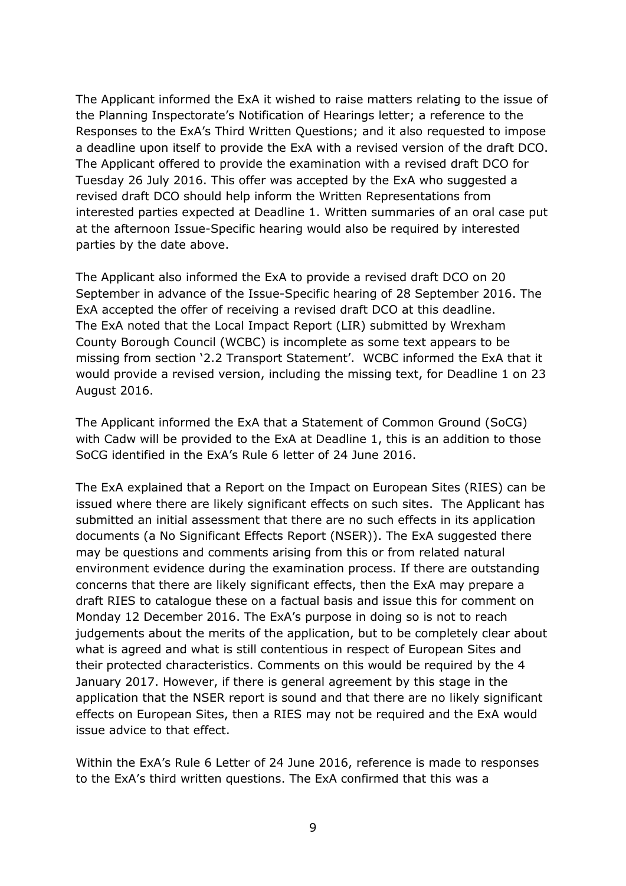The Applicant informed the ExA it wished to raise matters relating to the issue of the Planning Inspectorate's Notification of Hearings letter; a reference to the Responses to the ExA's Third Written Questions; and it also requested to impose a deadline upon itself to provide the ExA with a revised version of the draft DCO. The Applicant offered to provide the examination with a revised draft DCO for Tuesday 26 July 2016. This offer was accepted by the ExA who suggested a revised draft DCO should help inform the Written Representations from interested parties expected at Deadline 1. Written summaries of an oral case put at the afternoon Issue-Specific hearing would also be required by interested parties by the date above.

The Applicant also informed the ExA to provide a revised draft DCO on 20 September in advance of the Issue-Specific hearing of 28 September 2016. The ExA accepted the offer of receiving a revised draft DCO at this deadline. The ExA noted that the Local Impact Report (LIR) submitted by Wrexham County Borough Council (WCBC) is incomplete as some text appears to be missing from section '2.2 Transport Statement'. WCBC informed the ExA that it would provide a revised version, including the missing text, for Deadline 1 on 23 August 2016.

The Applicant informed the ExA that a Statement of Common Ground (SoCG) with Cadw will be provided to the ExA at Deadline 1, this is an addition to those SoCG identified in the ExA's Rule 6 letter of 24 June 2016.

The ExA explained that a Report on the Impact on European Sites (RIES) can be issued where there are likely significant effects on such sites. The Applicant has submitted an initial assessment that there are no such effects in its application documents (a No Significant Effects Report (NSER)). The ExA suggested there may be questions and comments arising from this or from related natural environment evidence during the examination process. If there are outstanding concerns that there are likely significant effects, then the ExA may prepare a draft RIES to catalogue these on a factual basis and issue this for comment on Monday 12 December 2016. The ExA's purpose in doing so is not to reach judgements about the merits of the application, but to be completely clear about what is agreed and what is still contentious in respect of European Sites and their protected characteristics. Comments on this would be required by the 4 January 2017. However, if there is general agreement by this stage in the application that the NSER report is sound and that there are no likely significant effects on European Sites, then a RIES may not be required and the ExA would issue advice to that effect.

Within the ExA's Rule 6 Letter of 24 June 2016, reference is made to responses to the ExA's third written questions. The ExA confirmed that this was a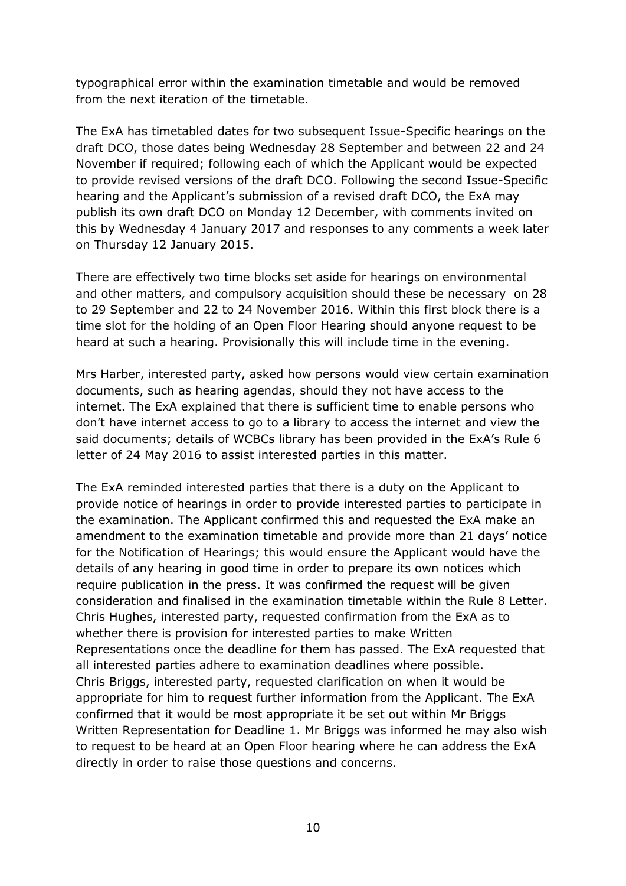typographical error within the examination timetable and would be removed from the next iteration of the timetable.

The ExA has timetabled dates for two subsequent Issue-Specific hearings on the draft DCO, those dates being Wednesday 28 September and between 22 and 24 November if required; following each of which the Applicant would be expected to provide revised versions of the draft DCO. Following the second Issue-Specific hearing and the Applicant's submission of a revised draft DCO, the ExA may publish its own draft DCO on Monday 12 December, with comments invited on this by Wednesday 4 January 2017 and responses to any comments a week later on Thursday 12 January 2015.

There are effectively two time blocks set aside for hearings on environmental and other matters, and compulsory acquisition should these be necessary on 28 to 29 September and 22 to 24 November 2016. Within this first block there is a time slot for the holding of an Open Floor Hearing should anyone request to be heard at such a hearing. Provisionally this will include time in the evening.

Mrs Harber, interested party, asked how persons would view certain examination documents, such as hearing agendas, should they not have access to the internet. The ExA explained that there is sufficient time to enable persons who don't have internet access to go to a library to access the internet and view the said documents; details of WCBCs library has been provided in the ExA's Rule 6 letter of 24 May 2016 to assist interested parties in this matter.

The ExA reminded interested parties that there is a duty on the Applicant to provide notice of hearings in order to provide interested parties to participate in the examination. The Applicant confirmed this and requested the ExA make an amendment to the examination timetable and provide more than 21 days' notice for the Notification of Hearings; this would ensure the Applicant would have the details of any hearing in good time in order to prepare its own notices which require publication in the press. It was confirmed the request will be given consideration and finalised in the examination timetable within the Rule 8 Letter. Chris Hughes, interested party, requested confirmation from the ExA as to whether there is provision for interested parties to make Written Representations once the deadline for them has passed. The ExA requested that all interested parties adhere to examination deadlines where possible. Chris Briggs, interested party, requested clarification on when it would be appropriate for him to request further information from the Applicant. The ExA confirmed that it would be most appropriate it be set out within Mr Briggs Written Representation for Deadline 1. Mr Briggs was informed he may also wish to request to be heard at an Open Floor hearing where he can address the ExA directly in order to raise those questions and concerns.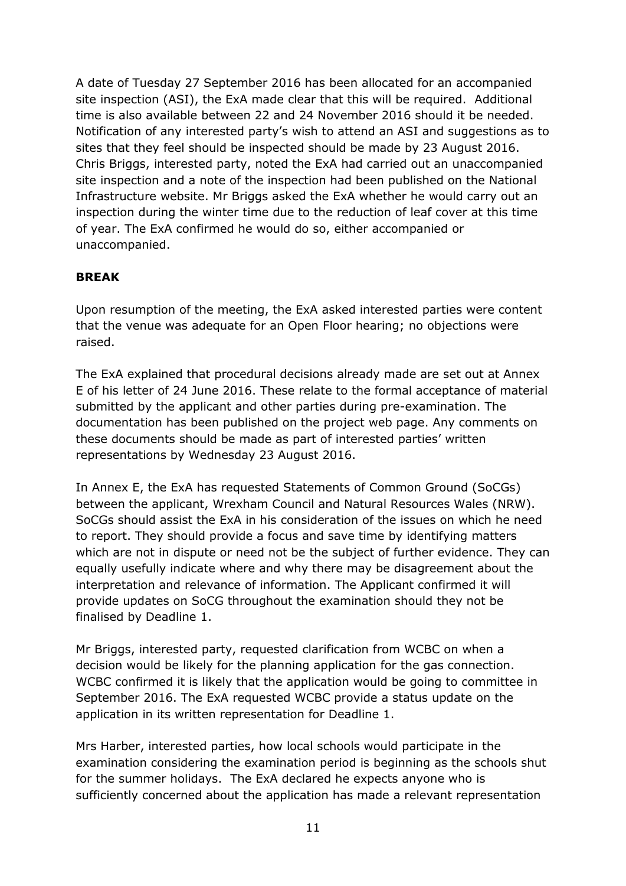A date of Tuesday 27 September 2016 has been allocated for an accompanied site inspection (ASI), the ExA made clear that this will be required. Additional time is also available between 22 and 24 November 2016 should it be needed. Notification of any interested party's wish to attend an ASI and suggestions as to sites that they feel should be inspected should be made by 23 August 2016. Chris Briggs, interested party, noted the ExA had carried out an unaccompanied site inspection and a note of the inspection had been published on the National Infrastructure website. Mr Briggs asked the ExA whether he would carry out an inspection during the winter time due to the reduction of leaf cover at this time of year. The ExA confirmed he would do so, either accompanied or unaccompanied.

# **BREAK**

Upon resumption of the meeting, the ExA asked interested parties were content that the venue was adequate for an Open Floor hearing; no objections were raised.

The ExA explained that procedural decisions already made are set out at Annex E of his letter of 24 June 2016. These relate to the formal acceptance of material submitted by the applicant and other parties during pre-examination. The documentation has been published on the project web page. Any comments on these documents should be made as part of interested parties' written representations by Wednesday 23 August 2016.

In Annex E, the ExA has requested Statements of Common Ground (SoCGs) between the applicant, Wrexham Council and Natural Resources Wales (NRW). SoCGs should assist the ExA in his consideration of the issues on which he need to report. They should provide a focus and save time by identifying matters which are not in dispute or need not be the subject of further evidence. They can equally usefully indicate where and why there may be disagreement about the interpretation and relevance of information. The Applicant confirmed it will provide updates on SoCG throughout the examination should they not be finalised by Deadline 1.

Mr Briggs, interested party, requested clarification from WCBC on when a decision would be likely for the planning application for the gas connection. WCBC confirmed it is likely that the application would be going to committee in September 2016. The ExA requested WCBC provide a status update on the application in its written representation for Deadline 1.

Mrs Harber, interested parties, how local schools would participate in the examination considering the examination period is beginning as the schools shut for the summer holidays. The ExA declared he expects anyone who is sufficiently concerned about the application has made a relevant representation